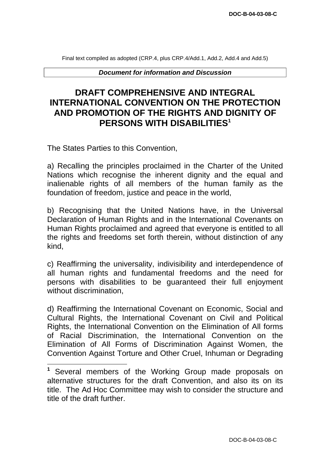Final text compiled as adopted (CRP.4, plus CRP.4/Add.1, Add.2, Add.4 and Add.5)

*Document for information and Discussion* 

# **DRAFT COMPREHENSIVE AND INTEGRAL INTERNATIONAL CONVENTION ON THE PROTECTION AND PROMOTION OF THE RIGHTS AND DIGNITY OF PERSONS WITH DISABILITIES1**

The States Parties to this Convention,

a) Recalling the principles proclaimed in the Charter of the United Nations which recognise the inherent dignity and the equal and inalienable rights of all members of the human family as the foundation of freedom, justice and peace in the world,

b) Recognising that the United Nations have, in the Universal Declaration of Human Rights and in the International Covenants on Human Rights proclaimed and agreed that everyone is entitled to all the rights and freedoms set forth therein, without distinction of any kind,

c) Reaffirming the universality, indivisibility and interdependence of all human rights and fundamental freedoms and the need for persons with disabilities to be guaranteed their full enjoyment without discrimination,

d) Reaffirming the International Covenant on Economic, Social and Cultural Rights, the International Covenant on Civil and Political Rights, the International Convention on the Elimination of All forms of Racial Discrimination, the International Convention on the Elimination of All Forms of Discrimination Against Women, the Convention Against Torture and Other Cruel, Inhuman or Degrading

Several members of the Working Group made proposals on alternative structures for the draft Convention, and also its on its title. The Ad Hoc Committee may wish to consider the structure and title of the draft further. **1**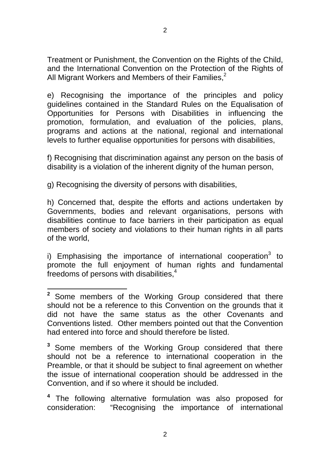Treatment or Punishment, the Convention on the Rights of the Child, and the International Convention on the Protection of the Rights of All Migrant Workers and Members of their Families. $2$ 

e) Recognising the importance of the principles and policy guidelines contained in the Standard Rules on the Equalisation of Opportunities for Persons with Disabilities in influencing the promotion, formulation, and evaluation of the policies, plans, programs and actions at the national, regional and international levels to further equalise opportunities for persons with disabilities,

f) Recognising that discrimination against any person on the basis of disability is a violation of the inherent dignity of the human person,

g) Recognising the diversity of persons with disabilities,

h) Concerned that, despite the efforts and actions undertaken by Governments, bodies and relevant organisations, persons with disabilities continue to face barriers in their participation as equal members of society and violations to their human rights in all parts of the world,

i) Emphasising the importance of international cooperation<sup>3</sup> to promote the full enjoyment of human rights and fundamental freedoms of persons with disabilities,<sup>4</sup>

<sup>&</sup>lt;sup>2</sup> Some members of the Working Group considered that there should not be a reference to this Convention on the grounds that it did not have the same status as the other Covenants and Conventions listed. Other members pointed out that the Convention had entered into force and should therefore be listed.

**<sup>3</sup>**Some members of the Working Group considered that there should not be a reference to international cooperation in the Preamble, or that it should be subject to final agreement on whether the issue of international cooperation should be addressed in the Convention, and if so where it should be included.

**<sup>4</sup>**The following alternative formulation was also proposed for consideration: "Recognising the importance of international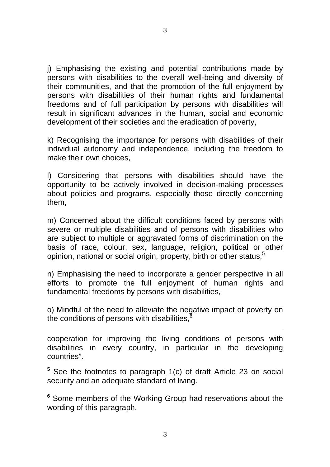3

j) Emphasising the existing and potential contributions made by persons with disabilities to the overall well-being and diversity of their communities, and that the promotion of the full enjoyment by persons with disabilities of their human rights and fundamental freedoms and of full participation by persons with disabilities will result in significant advances in the human, social and economic development of their societies and the eradication of poverty,

k) Recognising the importance for persons with disabilities of their individual autonomy and independence, including the freedom to make their own choices,

l) Considering that persons with disabilities should have the opportunity to be actively involved in decision-making processes about policies and programs, especially those directly concerning them,

m) Concerned about the difficult conditions faced by persons with severe or multiple disabilities and of persons with disabilities who are subject to multiple or aggravated forms of discrimination on the basis of race, colour, sex, language, religion, political or other opinion, national or social origin, property, birth or other status,<sup>5</sup>

n) Emphasising the need to incorporate a gender perspective in all efforts to promote the full enjoyment of human rights and fundamental freedoms by persons with disabilities,

o) Mindful of the need to alleviate the negative impact of poverty on the conditions of persons with disabilities.<sup>6</sup>

cooperation for improving the living conditions of persons with disabilities in every country, in particular in the developing countries".

<sup>5</sup> See the footnotes to paragraph 1(c) of draft Article 23 on social security and an adequate standard of living.

**<sup>6</sup>**Some members of the Working Group had reservations about the wording of this paragraph.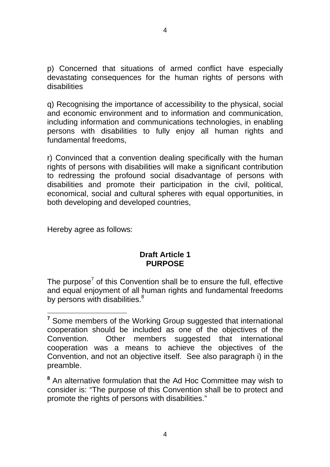p) Concerned that situations of armed conflict have especially devastating consequences for the human rights of persons with disabilities

q) Recognising the importance of accessibility to the physical, social and economic environment and to information and communication, including information and communications technologies, in enabling persons with disabilities to fully enjoy all human rights and fundamental freedoms,

r) Convinced that a convention dealing specifically with the human rights of persons with disabilities will make a significant contribution to redressing the profound social disadvantage of persons with disabilities and promote their participation in the civil, political, economical, social and cultural spheres with equal opportunities, in both developing and developed countries,

Hereby agree as follows:

## **Draft Article 1 PURPOSE**

The purpose<sup>7</sup> of this Convention shall be to ensure the full, effective and equal enjoyment of all human rights and fundamental freedoms by persons with disabilities. $8<sup>8</sup>$ 

<sup>&</sup>lt;sup>7</sup> Some members of the Working Group suggested that international cooperation should be included as one of the objectives of the Convention. Other members suggested that international cooperation was a means to achieve the objectives of the Convention, and not an objective itself. See also paragraph i) in the preamble.

**<sup>8</sup>**An alternative formulation that the Ad Hoc Committee may wish to consider is: "The purpose of this Convention shall be to protect and promote the rights of persons with disabilities."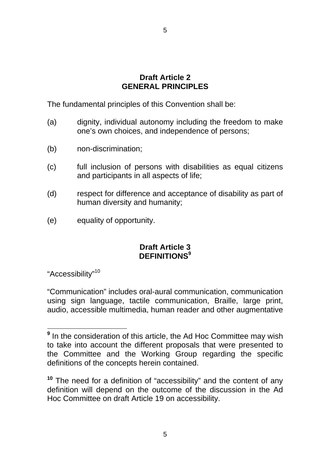## **Draft Article 2 GENERAL PRINCIPLES**

The fundamental principles of this Convention shall be:

- (a) dignity, individual autonomy including the freedom to make one's own choices, and independence of persons;
- (b) non-discrimination;
- (c) full inclusion of persons with disabilities as equal citizens and participants in all aspects of life;
- (d) respect for difference and acceptance of disability as part of human diversity and humanity;
- (e) equality of opportunity.

## **Draft Article 3 DEFINITIONS<sup>9</sup>**

"Accessibility"10

"Communication" includes oral-aural communication, communication using sign language, tactile communication, Braille, large print, audio, accessible multimedia, human reader and other augmentative

<sup>&</sup>lt;sup>9</sup> In the consideration of this article, the Ad Hoc Committee may wish to take into account the different proposals that were presented to the Committee and the Working Group regarding the specific definitions of the concepts herein contained.

**<sup>10</sup>**The need for a definition of "accessibility" and the content of any definition will depend on the outcome of the discussion in the Ad Hoc Committee on draft Article 19 on accessibility.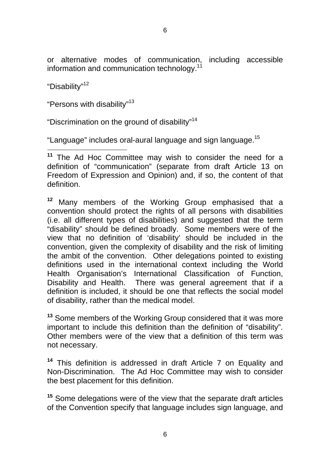or alternative modes of communication, including accessible information and communication technology.<sup>11</sup>

"Disability"<sup>12</sup>

"Persons with disability"<sup>13</sup>

"Discrimination on the ground of disability"14

"Language" includes oral-aural language and sign language.15

**<sup>11</sup>**The Ad Hoc Committee may wish to consider the need for a definition of "communication" (separate from draft Article 13 on Freedom of Expression and Opinion) and, if so, the content of that definition.

<sup>12</sup> Many members of the Working Group emphasised that a convention should protect the rights of all persons with disabilities (i.e. all different types of disabilities) and suggested that the term "disability" should be defined broadly. Some members were of the view that no definition of 'disability' should be included in the convention, given the complexity of disability and the risk of limiting the ambit of the convention. Other delegations pointed to existing definitions used in the international context including the World Health Organisation's International Classification of Function, Disability and Health. There was general agreement that if a definition is included, it should be one that reflects the social model of disability, rather than the medical model.

**<sup>13</sup>** Some members of the Working Group considered that it was more important to include this definition than the definition of "disability". Other members were of the view that a definition of this term was not necessary.

**<sup>14</sup>**This definition is addressed in draft Article 7 on Equality and Non-Discrimination. The Ad Hoc Committee may wish to consider the best placement for this definition.

**<sup>15</sup>**Some delegations were of the view that the separate draft articles of the Convention specify that language includes sign language, and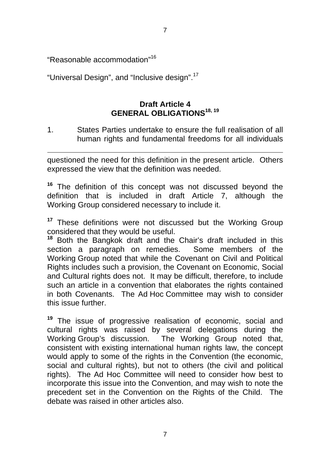7

"Reasonable accommodation"16

"Universal Design", and "Inclusive design".<sup>17</sup>

## **Draft Article 4 GENERAL OBLIGATIONS18, 19**

1. States Parties undertake to ensure the full realisation of all human rights and fundamental freedoms for all individuals

questioned the need for this definition in the present article. Others expressed the view that the definition was needed.

**<sup>16</sup>** The definition of this concept was not discussed beyond the definition that is included in draft Article 7, although the Working Group considered necessary to include it.

<sup>17</sup> These definitions were not discussed but the Working Group considered that they would be useful.

**<sup>18</sup>** Both the Bangkok draft and the Chair's draft included in this section a paragraph on remedies. Some members of the Working Group noted that while the Covenant on Civil and Political Rights includes such a provision, the Covenant on Economic, Social and Cultural rights does not. It may be difficult, therefore, to include such an article in a convention that elaborates the rights contained in both Covenants. The Ad Hoc Committee may wish to consider this issue further.

**<sup>19</sup>** The issue of progressive realisation of economic, social and cultural rights was raised by several delegations during the Working Group's discussion. The Working Group noted that, consistent with existing international human rights law, the concept would apply to some of the rights in the Convention (the economic, social and cultural rights), but not to others (the civil and political rights). The Ad Hoc Committee will need to consider how best to incorporate this issue into the Convention, and may wish to note the precedent set in the Convention on the Rights of the Child. The debate was raised in other articles also.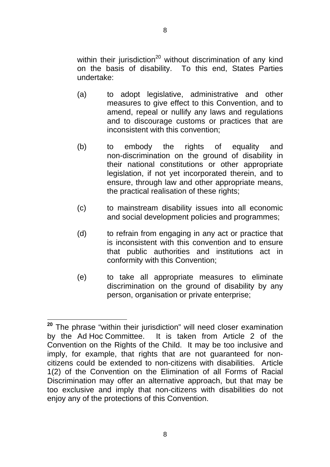within their jurisdiction<sup>20</sup> without discrimination of any kind on the basis of disability. To this end, States Parties undertake:

- (a) to adopt legislative, administrative and other measures to give effect to this Convention, and to amend, repeal or nullify any laws and regulations and to discourage customs or practices that are inconsistent with this convention;
- (b) to embody the rights of equality and non-discrimination on the ground of disability in their national constitutions or other appropriate legislation, if not yet incorporated therein, and to ensure, through law and other appropriate means, the practical realisation of these rights;
- (c) to mainstream disability issues into all economic and social development policies and programmes;
- (d) to refrain from engaging in any act or practice that is inconsistent with this convention and to ensure that public authorities and institutions act in conformity with this Convention;
- (e) to take all appropriate measures to eliminate discrimination on the ground of disability by any person, organisation or private enterprise;

**<sup>20</sup>** The phrase "within their jurisdiction" will need closer examination by the Ad Hoc Committee. It is taken from Article 2 of the Convention on the Rights of the Child. It may be too inclusive and imply, for example, that rights that are not guaranteed for noncitizens could be extended to non-citizens with disabilities. Article 1(2) of the Convention on the Elimination of all Forms of Racial Discrimination may offer an alternative approach, but that may be too exclusive and imply that non-citizens with disabilities do not enjoy any of the protections of this Convention.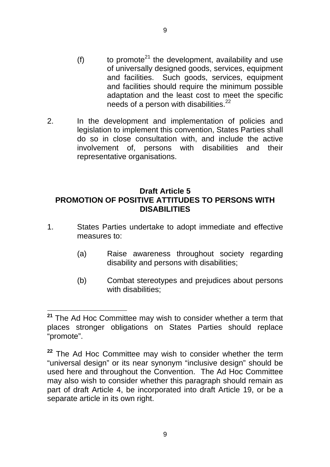- (f) to promote<sup>21</sup> the development, availability and use of universally designed goods, services, equipment and facilities. Such goods, services, equipment and facilities should require the minimum possible adaptation and the least cost to meet the specific needs of a person with disabilities. $^{22}$
- 2. In the development and implementation of policies and legislation to implement this convention, States Parties shall do so in close consultation with, and include the active involvement of, persons with disabilities and their representative organisations.

## **Draft Article 5 PROMOTION OF POSITIVE ATTITUDES TO PERSONS WITH DISABILITIES**

- 1. States Parties undertake to adopt immediate and effective measures to:
	- (a) Raise awareness throughout society regarding disability and persons with disabilities;
	- (b) Combat stereotypes and prejudices about persons with disabilities:

**<sup>21</sup>** The Ad Hoc Committee may wish to consider whether a term that places stronger obligations on States Parties should replace "promote".

**<sup>22</sup>** The Ad Hoc Committee may wish to consider whether the term "universal design" or its near synonym "inclusive design" should be used here and throughout the Convention. The Ad Hoc Committee may also wish to consider whether this paragraph should remain as part of draft Article 4, be incorporated into draft Article 19, or be a separate article in its own right.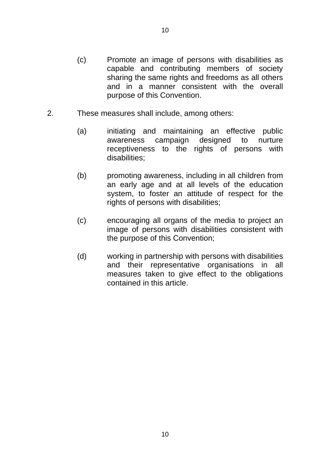- (c) Promote an image of persons with disabilities as capable and contributing members of society sharing the same rights and freedoms as all others and in a manner consistent with the overall purpose of this Convention.
- 2. These measures shall include, among others:
	- (a) initiating and maintaining an effective public awareness campaign designed to nurture receptiveness to the rights of persons with disabilities;
	- (b) promoting awareness, including in all children from an early age and at all levels of the education system, to foster an attitude of respect for the rights of persons with disabilities;
	- (c) encouraging all organs of the media to project an image of persons with disabilities consistent with the purpose of this Convention;
	- (d) working in partnership with persons with disabilities and their representative organisations in all measures taken to give effect to the obligations contained in this article.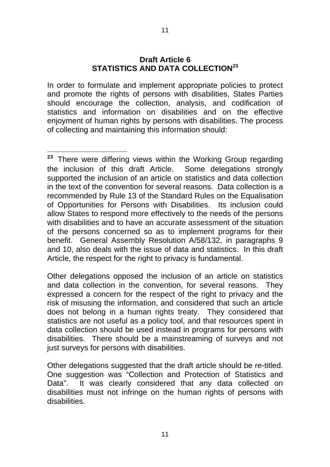#### **Draft Article 6 STATISTICS AND DATA COLLECTION<sup>23</sup>**

In order to formulate and implement appropriate policies to protect and promote the rights of persons with disabilities, States Parties should encourage the collection, analysis, and codification of statistics and information on disabilities and on the effective enjoyment of human rights by persons with disabilities. The process of collecting and maintaining this information should:

**<sup>23</sup>**There were differing views within the Working Group regarding the inclusion of this draft Article. Some delegations strongly supported the inclusion of an article on statistics and data collection in the text of the convention for several reasons. Data collection is a recommended by Rule 13 of the Standard Rules on the Equalisation of Opportunities for Persons with Disabilities. Its inclusion could allow States to respond more effectively to the needs of the persons with disabilities and to have an accurate assessment of the situation of the persons concerned so as to implement programs for their benefit. General Assembly Resolution A/58/132, in paragraphs 9 and 10, also deals with the issue of data and statistics. In this draft Article, the respect for the right to privacy is fundamental.

Other delegations opposed the inclusion of an article on statistics and data collection in the convention, for several reasons. They expressed a concern for the respect of the right to privacy and the risk of misusing the information, and considered that such an article does not belong in a human rights treaty. They considered that statistics are not useful as a policy tool, and that resources spent in data collection should be used instead in programs for persons with disabilities. There should be a mainstreaming of surveys and not just surveys for persons with disabilities.

Other delegations suggested that the draft article should be re-titled. One suggestion was "Collection and Protection of Statistics and Data". It was clearly considered that any data collected on disabilities must not infringe on the human rights of persons with disabilities.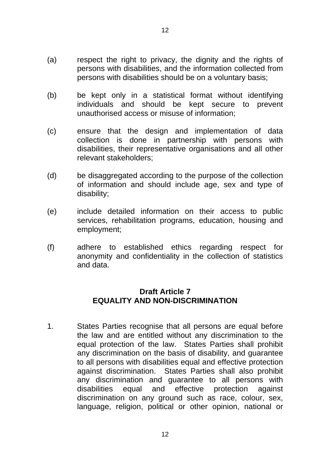- (a) respect the right to privacy, the dignity and the rights of persons with disabilities, and the information collected from persons with disabilities should be on a voluntary basis;
- (b) be kept only in a statistical format without identifying individuals and should be kept secure to prevent unauthorised access or misuse of information;
- (c) ensure that the design and implementation of data collection is done in partnership with persons with disabilities, their representative organisations and all other relevant stakeholders;
- (d) be disaggregated according to the purpose of the collection of information and should include age, sex and type of disability;
- (e) include detailed information on their access to public services, rehabilitation programs, education, housing and employment;
- (f) adhere to established ethics regarding respect for anonymity and confidentiality in the collection of statistics and data.

## **Draft Article 7 EQUALITY AND NON-DISCRIMINATION**

1. States Parties recognise that all persons are equal before the law and are entitled without any discrimination to the equal protection of the law. States Parties shall prohibit any discrimination on the basis of disability, and guarantee to all persons with disabilities equal and effective protection against discrimination. States Parties shall also prohibit any discrimination and guarantee to all persons with disabilities equal and effective protection against discrimination on any ground such as race, colour, sex, language, religion, political or other opinion, national or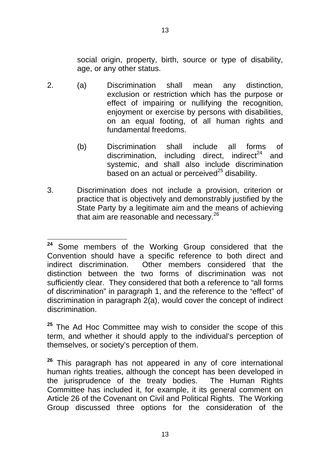social origin, property, birth, source or type of disability, age, or any other status.

- 2. (a) Discrimination shall mean any distinction, exclusion or restriction which has the purpose or effect of impairing or nullifying the recognition, enjoyment or exercise by persons with disabilities, on an equal footing, of all human rights and fundamental freedoms.
	- (b) Discrimination discrimination, including direct, indirect<sup>24</sup> shall include all forms of and systemic, and shall also include discrimination based on an actual or perceived $^{25}$  disability.
- 3. Discrimination does not include a provision, criterion or practice that is objectively and demonstrably justified by the State Party by a legitimate aim and the means of achieving that aim are reasonable and necessary.26

**<sup>25</sup>** The Ad Hoc Committee may wish to consider the scope of this term, and whether it should apply to the individual's perception of themselves, or society's perception of them.

**<sup>24</sup>** Some members of the Working Group considered that the Convention should have a specific reference to both direct and indirect discrimination. Other members considered that the distinction between the two forms of discrimination was not sufficiently clear. They considered that both a reference to "all forms of discrimination" in paragraph 1, and the reference to the "effect" of discrimination in paragraph 2(a), would cover the concept of indirect discrimination.

**<sup>26</sup>**This paragraph has not appeared in any of core international human rights treaties, although the concept has been developed in the jurisprudence of the treaty bodies. The Human Rights Committee has included it, for example, it its general comment on Article 26 of the Covenant on Civil and Political Rights. The Working Group discussed three options for the consideration of the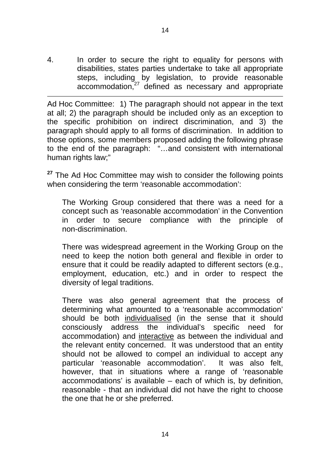4. In order to secure the right to equality for persons with disabilities, states parties undertake to take all appropriate steps, including by legislation, to provide reasonable accommodation,<sup>27</sup> defined as necessary and appropriate

Ad Hoc Committee: 1) The paragraph should not appear in the text at all; 2) the paragraph should be included only as an exception to the specific prohibition on indirect discrimination, and 3) the paragraph should apply to all forms of discrimination. In addition to those options, some members proposed adding the following phrase to the end of the paragraph: "…and consistent with international human rights law;"

**<sup>27</sup>**The Ad Hoc Committee may wish to consider the following points when considering the term 'reasonable accommodation':

The Working Group considered that there was a need for a concept such as 'reasonable accommodation' in the Convention in order to secure compliance with the principle of non-discrimination.

There was widespread agreement in the Working Group on the need to keep the notion both general and flexible in order to ensure that it could be readily adapted to different sectors (e.g., employment, education, etc.) and in order to respect the diversity of legal traditions.

There was also general agreement that the process of determining what amounted to a 'reasonable accommodation' should be both individualised (in the sense that it should consciously address the individual's specific need for accommodation) and interactive as between the individual and the relevant entity concerned. It was understood that an entity should not be allowed to compel an individual to accept any particular 'reasonable accommodation'. It was also felt, however, that in situations where a range of 'reasonable accommodations' is available – each of which is, by definition, reasonable - that an individual did not have the right to choose the one that he or she preferred.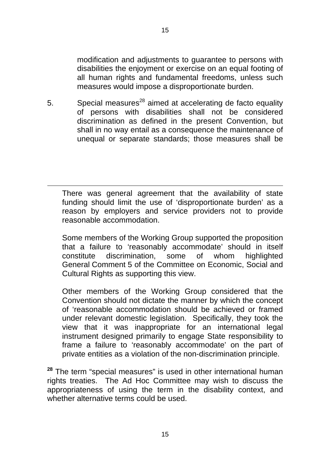modification and adjustments to guarantee to persons with disabilities the enjoyment or exercise on an equal footing of all human rights and fundamental freedoms, unless such measures would impose a disproportionate burden.

5. Special measures<sup>28</sup> aimed at accelerating de facto equality of persons with disabilities shall not be considered discrimination as defined in the present Convention, but shall in no way entail as a consequence the maintenance of unequal or separate standards; those measures shall be

There was general agreement that the availability of state funding should limit the use of 'disproportionate burden' as a reason by employers and service providers not to provide reasonable accommodation.

Some members of the Working Group supported the proposition that a failure to 'reasonably accommodate' should in itself constitute discrimination, some of whom highlighted General Comment 5 of the Committee on Economic, Social and Cultural Rights as supporting this view.

Other members of the Working Group considered that the Convention should not dictate the manner by which the concept of 'reasonable accommodation should be achieved or framed under relevant domestic legislation. Specifically, they took the view that it was inappropriate for an international legal instrument designed primarily to engage State responsibility to frame a failure to 'reasonably accommodate' on the part of private entities as a violation of the non-discrimination principle.

**<sup>28</sup>**The term "special measures" is used in other international human rights treaties. The Ad Hoc Committee may wish to discuss the appropriateness of using the term in the disability context, and whether alternative terms could be used.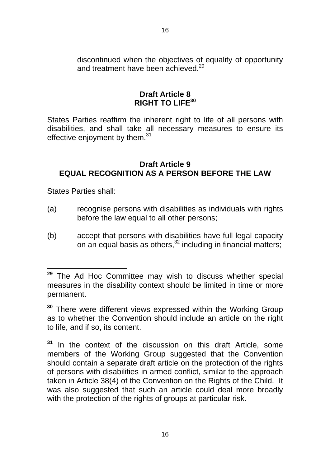discontinued when the objectives of equality of opportunity and treatment have been achieved  $29$ 

## **Draft Article 8 RIGHT TO LIFE<sup>30</sup>**

States Parties reaffirm the inherent right to life of all persons with disabilities, and shall take all necessary measures to ensure its effective enjoyment by them.<sup>31</sup>

## **Draft Article 9 EQUAL RECOGNITION AS A PERSON BEFORE THE LAW**

States Parties shall:

- (a) recognise persons with disabilities as individuals with rights before the law equal to all other persons;
- (b) accept that persons with disabilities have full legal capacity on an equal basis as others, $32$  including in financial matters;

**<sup>29</sup>**The Ad Hoc Committee may wish to discuss whether special measures in the disability context should be limited in time or more permanent.

**<sup>30</sup>**There were different views expressed within the Working Group as to whether the Convention should include an article on the right to life, and if so, its content.

**<sup>31</sup>** In the context of the discussion on this draft Article, some members of the Working Group suggested that the Convention should contain a separate draft article on the protection of the rights of persons with disabilities in armed conflict, similar to the approach taken in Article 38(4) of the Convention on the Rights of the Child. It was also suggested that such an article could deal more broadly with the protection of the rights of groups at particular risk.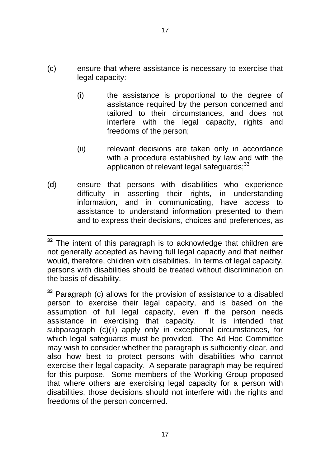- (c) ensure that where assistance is necessary to exercise that legal capacity:
	- (i) the assistance is proportional to the degree of assistance required by the person concerned and tailored to their circumstances, and does not interfere with the legal capacity, rights and freedoms of the person;
	- (ii) relevant decisions are taken only in accordance with a procedure established by law and with the application of relevant legal safeguards: <sup>33</sup>
- (d) ensure that persons with disabilities who experience difficulty in asserting their rights, in understanding information, and in communicating, have access to assistance to understand information presented to them and to express their decisions, choices and preferences, as

**<sup>33</sup>** Paragraph (c) allows for the provision of assistance to a disabled person to exercise their legal capacity, and is based on the assumption of full legal capacity, even if the person needs assistance in exercising that capacity. It is intended that subparagraph (c)(ii) apply only in exceptional circumstances, for which legal safeguards must be provided. The Ad Hoc Committee may wish to consider whether the paragraph is sufficiently clear, and also how best to protect persons with disabilities who cannot exercise their legal capacity. A separate paragraph may be required for this purpose. Some members of the Working Group proposed that where others are exercising legal capacity for a person with disabilities, those decisions should not interfere with the rights and freedoms of the person concerned.

**<sup>32</sup>** The intent of this paragraph is to acknowledge that children are not generally accepted as having full legal capacity and that neither would, therefore, children with disabilities. In terms of legal capacity, persons with disabilities should be treated without discrimination on the basis of disability.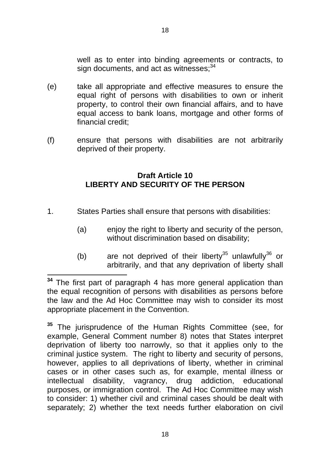well as to enter into binding agreements or contracts, to sign documents, and act as witnesses;<sup>34</sup>

- (e) take all appropriate and effective measures to ensure the equal right of persons with disabilities to own or inherit property, to control their own financial affairs, and to have equal access to bank loans, mortgage and other forms of financial credit;
- (f) ensure that persons with disabilities are not arbitrarily deprived of their property.

## **Draft Article 10 LIBERTY AND SECURITY OF THE PERSON**

- 1. States Parties shall ensure that persons with disabilities:
	- (a) enjoy the right to liberty and security of the person, without discrimination based on disability;
	- (b) are not deprived of their liberty<sup>35</sup> unlawfully<sup>36</sup> or arbitrarily, and that any deprivation of liberty shall

**<sup>34</sup>** The first part of paragraph 4 has more general application than the equal recognition of persons with disabilities as persons before the law and the Ad Hoc Committee may wish to consider its most appropriate placement in the Convention.

**<sup>35</sup>** The jurisprudence of the Human Rights Committee (see, for example, General Comment number 8) notes that States interpret deprivation of liberty too narrowly, so that it applies only to the criminal justice system. The right to liberty and security of persons, however, applies to all deprivations of liberty, whether in criminal cases or in other cases such as, for example, mental illness or intellectual disability, vagrancy, drug addiction, educational purposes, or immigration control. The Ad Hoc Committee may wish to consider: 1) whether civil and criminal cases should be dealt with separately; 2) whether the text needs further elaboration on civil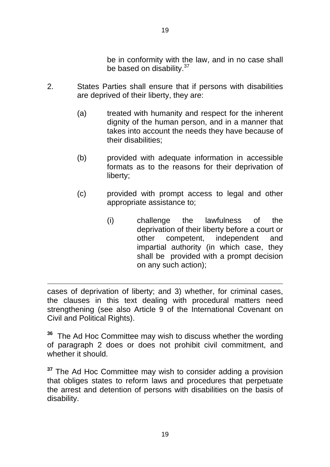be in conformity with the law, and in no case shall be based on disability.<sup>37</sup>

- 2. States Parties shall ensure that if persons with disabilities are deprived of their liberty, they are:
	- (a) treated with humanity and respect for the inherent dignity of the human person, and in a manner that takes into account the needs they have because of their disabilities;
	- (b) provided with adequate information in accessible formats as to the reasons for their deprivation of liberty;
	- (c) provided with prompt access to legal and other appropriate assistance to;
		- (i) challenge the lawfulness of the deprivation of their liberty before a court or other competent, independent and impartial authority (in which case, they shall be provided with a prompt decision on any such action);

cases of deprivation of liberty; and 3) whether, for criminal cases, the clauses in this text dealing with procedural matters need strengthening (see also Article 9 of the International Covenant on Civil and Political Rights).

**36** The Ad Hoc Committee may wish to discuss whether the wording of paragraph 2 does or does not prohibit civil commitment, and whether it should.

**<sup>37</sup>** The Ad Hoc Committee may wish to consider adding a provision that obliges states to reform laws and procedures that perpetuate the arrest and detention of persons with disabilities on the basis of disability.

19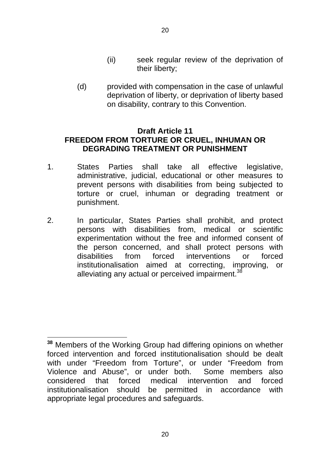(d) provided with compensation in the case of unlawful deprivation of liberty, or deprivation of liberty based on disability, contrary to this Convention.

## **Draft Article 11 FREEDOM FROM TORTURE OR CRUEL, INHUMAN OR DEGRADING TREATMENT OR PUNISHMENT**

- 1. States Parties shall take all effective legislative, administrative, judicial, educational or other measures to prevent persons with disabilities from being subjected to torture or cruel, inhuman or degrading treatment or punishment.
- 2. In particular, States Parties shall prohibit, and protect persons with disabilities from, medical or scientific experimentation without the free and informed consent of the person concerned, and shall protect persons with disabilities from forced interventions or forced institutionalisation aimed at correcting, improving, or alleviating any actual or perceived impairment.<sup>38</sup>

**<sup>38</sup>** Members of the Working Group had differing opinions on whether forced intervention and forced institutionalisation should be dealt with under "Freedom from Torture", or under "Freedom from Violence and Abuse", or under both. Some members also considered that forced medical intervention and forced institutionalisation should be permitted in accordance with appropriate legal procedures and safeguards.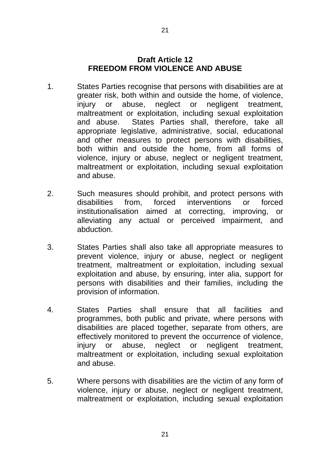#### **Draft Article 12 FREEDOM FROM VIOLENCE AND ABUSE**

- 1. States Parties recognise that persons with disabilities are at greater risk, both within and outside the home, of violence, injury or abuse, neglect or negligent treatment, maltreatment or exploitation, including sexual exploitation and abuse. States Parties shall, therefore, take all appropriate legislative, administrative, social, educational and other measures to protect persons with disabilities, both within and outside the home, from all forms of violence, injury or abuse, neglect or negligent treatment, maltreatment or exploitation, including sexual exploitation and abuse.
- 2. Such measures should prohibit, and protect persons with disabilities from, forced interventions or forced institutionalisation aimed at correcting, improving, or alleviating any actual or perceived impairment, and abduction.
- 3. States Parties shall also take all appropriate measures to prevent violence, injury or abuse, neglect or negligent treatment, maltreatment or exploitation, including sexual exploitation and abuse, by ensuring, inter alia, support for persons with disabilities and their families, including the provision of information.
- 4. States Parties shall ensure that all facilities and programmes, both public and private, where persons with disabilities are placed together, separate from others, are effectively monitored to prevent the occurrence of violence, injury or abuse, neglect or negligent treatment, maltreatment or exploitation, including sexual exploitation and abuse.
- 5. Where persons with disabilities are the victim of any form of violence, injury or abuse, neglect or negligent treatment, maltreatment or exploitation, including sexual exploitation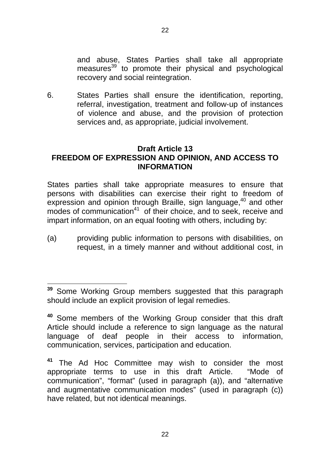and abuse, States Parties shall take all appropriate measures<sup>39</sup> to promote their physical and psychological recovery and social reintegration.

6. States Parties shall ensure the identification, reporting, referral, investigation, treatment and follow-up of instances of violence and abuse, and the provision of protection services and, as appropriate, judicial involvement.

#### **Draft Article 13 FREEDOM OF EXPRESSION AND OPINION, AND ACCESS TO INFORMATION**

States parties shall take appropriate measures to ensure that persons with disabilities can exercise their right to freedom of expression and opinion through Braille, sign language, $40$  and other  $m$  modes of communication<sup>41</sup> of their choice, and to seek, receive and impart information, on an equal footing with others, including by:

(a) providing public information to persons with disabilities, on request, in a timely manner and without additional cost, in

**<sup>39</sup>** Some Working Group members suggested that this paragraph should include an explicit provision of legal remedies.

**<sup>40</sup>**Some members of the Working Group consider that this draft Article should include a reference to sign language as the natural language of deaf people in their access to information, communication, services, participation and education.

**<sup>41</sup>** The Ad Hoc Committee may wish to consider the most appropriate terms to use in this draft Article. "Mode of communication", "format" (used in paragraph (a)), and "alternative and augmentative communication modes" (used in paragraph (c)) have related, but not identical meanings.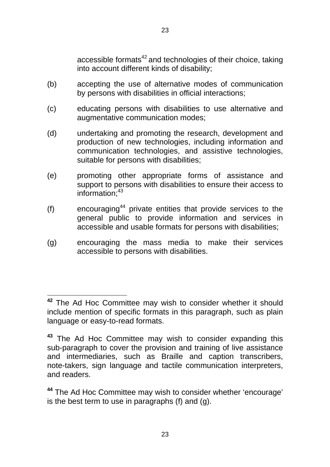accessible formats $42$  and technologies of their choice, taking into account different kinds of disability;

- (b) accepting the use of alternative modes of communication by persons with disabilities in official interactions;
- (c) educating persons with disabilities to use alternative and augmentative communication modes;
- (d) undertaking and promoting the research, development and production of new technologies, including information and communication technologies, and assistive technologies, suitable for persons with disabilities;
- (e) promoting other appropriate forms of assistance and support to persons with disabilities to ensure their access to  $information<sup>43</sup>$
- $(f)$  encouraging<sup>44</sup> private entities that provide services to the general public to provide information and services in accessible and usable formats for persons with disabilities;
- (g) encouraging the mass media to make their services accessible to persons with disabilities.

**<sup>42</sup>** The Ad Hoc Committee may wish to consider whether it should include mention of specific formats in this paragraph, such as plain language or easy-to-read formats.

**<sup>43</sup>** The Ad Hoc Committee may wish to consider expanding this sub-paragraph to cover the provision and training of live assistance and intermediaries, such as Braille and caption transcribers, note-takers, sign language and tactile communication interpreters, and readers.

**<sup>44</sup>** The Ad Hoc Committee may wish to consider whether 'encourage' is the best term to use in paragraphs (f) and (g).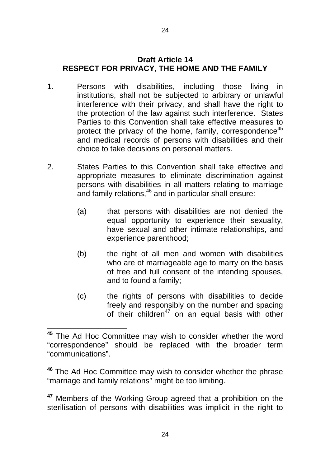## **Draft Article 14 RESPECT FOR PRIVACY, THE HOME AND THE FAMILY**

- 1. Persons with disabilities, including those living in institutions, shall not be subjected to arbitrary or unlawful interference with their privacy, and shall have the right to the protection of the law against such interference. States Parties to this Convention shall take effective measures to protect the privacy of the home, family, correspondence<sup>45</sup> and medical records of persons with disabilities and their choice to take decisions on personal matters.
- 2. States Parties to this Convention shall take effective and appropriate measures to eliminate discrimination against persons with disabilities in all matters relating to marriage and family relations,  $46$  and in particular shall ensure:
	- (a) that persons with disabilities are not denied the equal opportunity to experience their sexuality, have sexual and other intimate relationships, and experience parenthood;
	- (b) the right of all men and women with disabilities who are of marriageable age to marry on the basis of free and full consent of the intending spouses, and to found a family;
	- (c) the rights of persons with disabilities to decide freely and responsibly on the number and spacing of their children<sup>47</sup> on an equal basis with other

**<sup>45</sup>**The Ad Hoc Committee may wish to consider whether the word "correspondence" should be replaced with the broader term "communications".

**<sup>46</sup>** The Ad Hoc Committee may wish to consider whether the phrase "marriage and family relations" might be too limiting.

**<sup>47</sup>**Members of the Working Group agreed that a prohibition on the sterilisation of persons with disabilities was implicit in the right to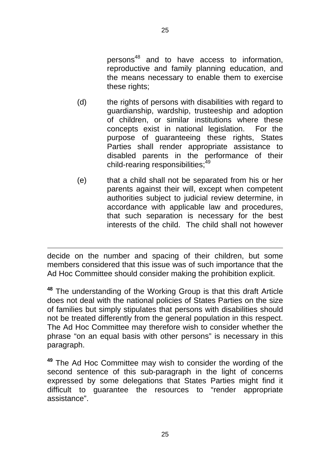persons $48$  and to have access to information, reproductive and family planning education, and the means necessary to enable them to exercise these rights;

- (d) the rights of persons with disabilities with regard to guardianship, wardship, trusteeship and adoption of children, or similar institutions where these concepts exist in national legislation. For the purpose of guaranteeing these rights, States Parties shall render appropriate assistance to disabled parents in the performance of their child-rearing responsibilities;<sup>49</sup>
- (e) that a child shall not be separated from his or her parents against their will, except when competent authorities subject to judicial review determine, in accordance with applicable law and procedures, that such separation is necessary for the best interests of the child. The child shall not however

decide on the number and spacing of their children, but some members considered that this issue was of such importance that the Ad Hoc Committee should consider making the prohibition explicit.

**<sup>48</sup>**The understanding of the Working Group is that this draft Article does not deal with the national policies of States Parties on the size of families but simply stipulates that persons with disabilities should not be treated differently from the general population in this respect. The Ad Hoc Committee may therefore wish to consider whether the phrase "on an equal basis with other persons" is necessary in this paragraph.

**<sup>49</sup>**The Ad Hoc Committee may wish to consider the wording of the second sentence of this sub-paragraph in the light of concerns expressed by some delegations that States Parties might find it difficult to guarantee the resources to "render appropriate assistance".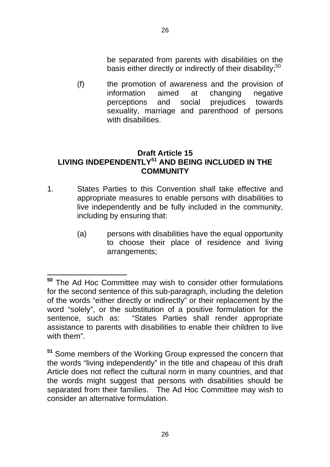be separated from parents with disabilities on the basis either directly or indirectly of their disability;<sup>50</sup>

(f) the promotion of awareness and the provision of information aimed at changing negative perceptions and social prejudices towards sexuality, marriage and parenthood of persons with disabilities.

## **Draft Article 15 LIVING INDEPENDENTLY51 AND BEING INCLUDED IN THE COMMUNITY**

- 1. States Parties to this Convention shall take effective and appropriate measures to enable persons with disabilities to live independently and be fully included in the community, including by ensuring that:
	- (a) persons with disabilities have the equal opportunity to choose their place of residence and living arrangements;

**<sup>50</sup>**The Ad Hoc Committee may wish to consider other formulations for the second sentence of this sub-paragraph, including the deletion of the words "either directly or indirectly" or their replacement by the word "solely", or the substitution of a positive formulation for the sentence, such as: "States Parties shall render appropriate assistance to parents with disabilities to enable their children to live with them".

**<sup>51</sup>**Some members of the Working Group expressed the concern that the words "living independently" in the title and chapeau of this draft Article does not reflect the cultural norm in many countries, and that the words might suggest that persons with disabilities should be separated from their families. The Ad Hoc Committee may wish to consider an alternative formulation.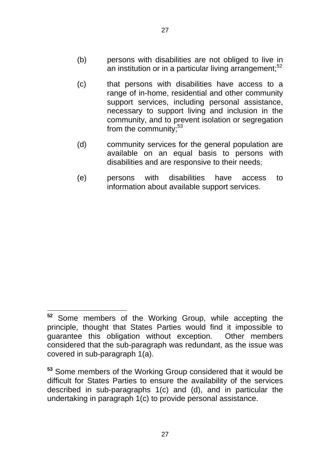- (b) persons with disabilities are not obliged to live in an institution or in a particular living arrangement; $52$
- (c) that persons with disabilities have access to a range of in-home, residential and other community support services, including personal assistance, necessary to support living and inclusion in the community, and to prevent isolation or segregation from the community;<sup>53</sup>
- (d) community services for the general population are available on an equal basis to persons with disabilities and are responsive to their needs;
- (e) persons with disabilities have access to information about available support services.

**<sup>52</sup>** Some members of the Working Group, while accepting the principle, thought that States Parties would find it impossible to guarantee this obligation without exception. Other members considered that the sub-paragraph was redundant, as the issue was covered in sub-paragraph 1(a).

**<sup>53</sup>** Some members of the Working Group considered that it would be difficult for States Parties to ensure the availability of the services described in sub-paragraphs 1(c) and (d), and in particular the undertaking in paragraph 1(c) to provide personal assistance.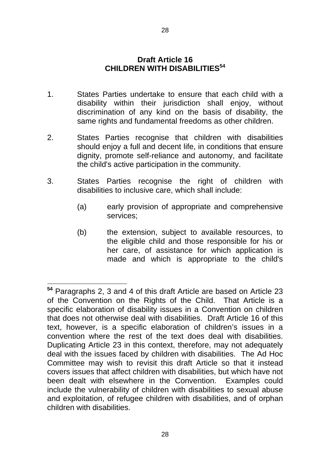#### **Draft Article 16 CHILDREN WITH DISABILITIES<sup>54</sup>**

- 1. States Parties undertake to ensure that each child with a disability within their jurisdiction shall enjoy, without discrimination of any kind on the basis of disability, the same rights and fundamental freedoms as other children.
- 2. States Parties recognise that children with disabilities should enjoy a full and decent life, in conditions that ensure dignity, promote self-reliance and autonomy, and facilitate the child's active participation in the community.
- 3. States Parties recognise the right of children with disabilities to inclusive care, which shall include:
	- (a) early provision of appropriate and comprehensive services;
	- (b) the extension, subject to available resources, to the eligible child and those responsible for his or her care, of assistance for which application is made and which is appropriate to the child's

**<sup>54</sup>** Paragraphs 2, 3 and 4 of this draft Article are based on Article 23 of the Convention on the Rights of the Child. That Article is a specific elaboration of disability issues in a Convention on children that does not otherwise deal with disabilities. Draft Article 16 of this text, however, is a specific elaboration of children's issues in a convention where the rest of the text does deal with disabilities. Duplicating Article 23 in this context, therefore, may not adequately deal with the issues faced by children with disabilities. The Ad Hoc Committee may wish to revisit this draft Article so that it instead covers issues that affect children with disabilities, but which have not been dealt with elsewhere in the Convention. Examples could include the vulnerability of children with disabilities to sexual abuse and exploitation, of refugee children with disabilities, and of orphan children with disabilities.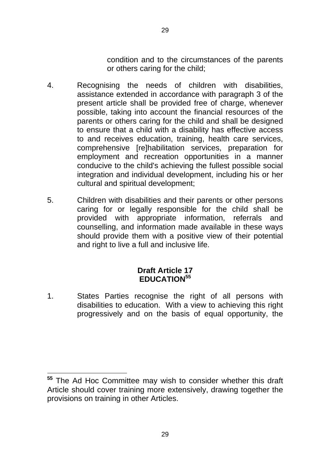condition and to the circumstances of the parents or others caring for the child;

- 4. Recognising the needs of children with disabilities, assistance extended in accordance with paragraph 3 of the present article shall be provided free of charge, whenever possible, taking into account the financial resources of the parents or others caring for the child and shall be designed to ensure that a child with a disability has effective access to and receives education, training, health care services, comprehensive [re]habilitation services, preparation for employment and recreation opportunities in a manner conducive to the child's achieving the fullest possible social integration and individual development, including his or her cultural and spiritual development;
- 5. Children with disabilities and their parents or other persons caring for or legally responsible for the child shall be provided with appropriate information, referrals and counselling, and information made available in these ways should provide them with a positive view of their potential and right to live a full and inclusive life.

## **Draft Article 17 EDUCATION<sup>55</sup>**

1. States Parties recognise the right of all persons with disabilities to education. With a view to achieving this right progressively and on the basis of equal opportunity, the

**<sup>55</sup>**The Ad Hoc Committee may wish to consider whether this draft Article should cover training more extensively, drawing together the provisions on training in other Articles.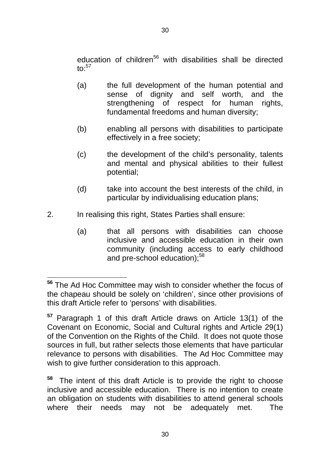education of children<sup>56</sup> with disabilities shall be directed to: $57$ 

- (a) the full development of the human potential and sense of dignity and self worth, and the strengthening of respect for human rights, fundamental freedoms and human diversity;
- (b) enabling all persons with disabilities to participate effectively in a free society;
- (c) the development of the child's personality, talents and mental and physical abilities to their fullest potential;
- (d) take into account the best interests of the child, in particular by individualising education plans;
- 2. In realising this right, States Parties shall ensure:
	- (a) that all persons with disabilities can choose inclusive and accessible education in their own community (including access to early childhood and pre-school education):<sup>58</sup>

**<sup>56</sup>**The Ad Hoc Committee may wish to consider whether the focus of the chapeau should be solely on 'children', since other provisions of this draft Article refer to 'persons' with disabilities.

**<sup>57</sup>** Paragraph 1 of this draft Article draws on Article 13(1) of the Covenant on Economic, Social and Cultural rights and Article 29(1) of the Convention on the Rights of the Child. It does not quote those sources in full, but rather selects those elements that have particular relevance to persons with disabilities. The Ad Hoc Committee may wish to give further consideration to this approach.

**<sup>58</sup>** The intent of this draft Article is to provide the right to choose inclusive and accessible education. There is no intention to create an obligation on students with disabilities to attend general schools where their needs may not be adequately met. The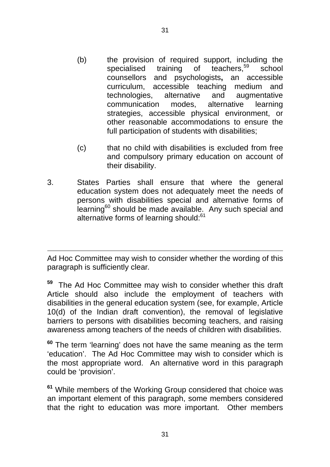- (b) the provision of required support, including the specialised training of teachers,<sup>59</sup> school counsellors and psychologists**,** an accessible curriculum, accessible teaching medium and technologies, alternative and augmentative communication modes, alternative learning strategies, accessible physical environment, or other reasonable accommodations to ensure the full participation of students with disabilities;
- (c) that no child with disabilities is excluded from free and compulsory primary education on account of their disability.
- 3. States Parties shall ensure that where the general education system does not adequately meet the needs of persons with disabilities special and alternative forms of learning<sup>60</sup> should be made available. Any such special and alternative forms of learning should:<sup>61</sup>

Ad Hoc Committee may wish to consider whether the wording of this paragraph is sufficiently clear*.* 

**59** The Ad Hoc Committee may wish to consider whether this draft Article should also include the employment of teachers with disabilities in the general education system (see, for example, Article 10(d) of the Indian draft convention), the removal of legislative barriers to persons with disabilities becoming teachers, and raising awareness among teachers of the needs of children with disabilities.

**<sup>60</sup>** The term 'learning' does not have the same meaning as the term 'education'. The Ad Hoc Committee may wish to consider which is the most appropriate word. An alternative word in this paragraph could be 'provision'.

**<sup>61</sup>** While members of the Working Group considered that choice was an important element of this paragraph, some members considered that the right to education was more important. Other members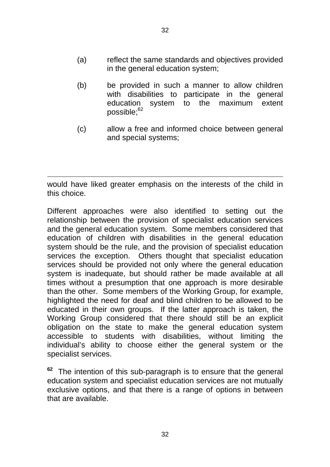- (a) reflect the same standards and objectives provided in the general education system;
- (b) be provided in such a manner to allow children with disabilities to participate in the general education system to the maximum extent possible;<sup>62</sup>
- (c) allow a free and informed choice between general and special systems;

would have liked greater emphasis on the interests of the child in this choice.

Different approaches were also identified to setting out the relationship between the provision of specialist education services and the general education system. Some members considered that education of children with disabilities in the general education system should be the rule, and the provision of specialist education services the exception. Others thought that specialist education services should be provided not only where the general education system is inadequate, but should rather be made available at all times without a presumption that one approach is more desirable than the other. Some members of the Working Group, for example, highlighted the need for deaf and blind children to be allowed to be educated in their own groups. If the latter approach is taken, the Working Group considered that there should still be an explicit obligation on the state to make the general education system accessible to students with disabilities, without limiting the individual's ability to choose either the general system or the specialist services.

The intention of this sub-paragraph is to ensure that the general education system and specialist education services are not mutually exclusive options, and that there is a range of options in between that are available.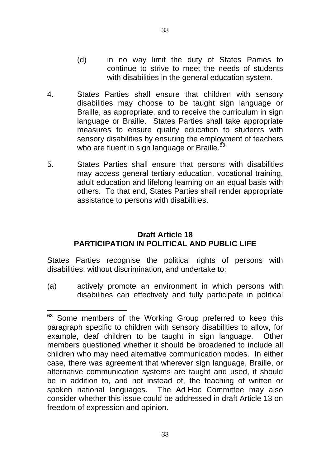- (d) in no way limit the duty of States Parties to continue to strive to meet the needs of students with disabilities in the general education system.
- 4. States Parties shall ensure that children with sensory disabilities may choose to be taught sign language or Braille, as appropriate, and to receive the curriculum in sign language or Braille. States Parties shall take appropriate measures to ensure quality education to students with sensory disabilities by ensuring the employment of teachers who are fluent in sign language or Braille.<sup>63</sup>
- 5. States Parties shall ensure that persons with disabilities may access general tertiary education, vocational training, adult education and lifelong learning on an equal basis with others. To that end, States Parties shall render appropriate assistance to persons with disabilities.

## **Draft Article 18 PARTICIPATION IN POLITICAL AND PUBLIC LIFE**

States Parties recognise the political rights of persons with disabilities, without discrimination, and undertake to:

(a) actively promote an environment in which persons with disabilities can effectively and fully participate in political

**<sup>63</sup>** Some members of the Working Group preferred to keep this paragraph specific to children with sensory disabilities to allow, for example, deaf children to be taught in sign language. Other members questioned whether it should be broadened to include all children who may need alternative communication modes. In either case, there was agreement that wherever sign language, Braille, or alternative communication systems are taught and used, it should be in addition to, and not instead of, the teaching of written or spoken national languages. The Ad Hoc Committee may also consider whether this issue could be addressed in draft Article 13 on freedom of expression and opinion.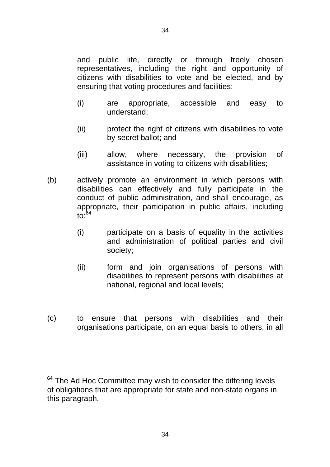and public life, directly or through freely chosen representatives, including the right and opportunity of citizens with disabilities to vote and be elected, and by ensuring that voting procedures and facilities:

- (i) are appropriate, accessible and easy to understand;
- (ii) protect the right of citizens with disabilities to vote by secret ballot; and
- (iii) allow, where necessary, the provision of assistance in voting to citizens with disabilities;
- (b) actively promote an environment in which persons with disabilities can effectively and fully participate in the conduct of public administration, and shall encourage, as appropriate, their participation in public affairs, including to:64
	- (i) participate on a basis of equality in the activities and administration of political parties and civil society;
	- (ii) form and join organisations of persons with disabilities to represent persons with disabilities at national, regional and local levels;
- (c) to ensure that persons with disabilities and their organisations participate, on an equal basis to others, in all

**<sup>64</sup>** The Ad Hoc Committee may wish to consider the differing levels of obligations that are appropriate for state and non-state organs in this paragraph.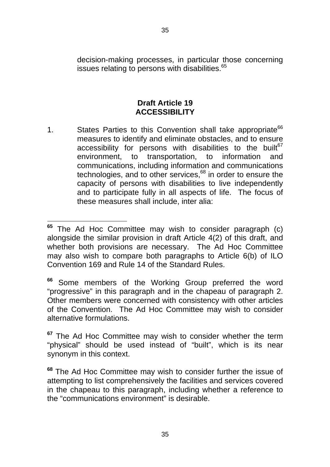decision-making processes, in particular those concerning issues relating to persons with disabilities.<sup>65</sup>

## **Draft Article 19 ACCESSIBILITY**

1. States Parties to this Convention shall take appropriate<sup>66</sup> measures to identify and eliminate obstacles, and to ensure accessibility for persons with disabilities to the built $67$ environment, to transportation, to information and communications, including information and communications technologies, and to other services, $68$  in order to ensure the capacity of persons with disabilities to live independently and to participate fully in all aspects of life. The focus of these measures shall include, inter alia:

**<sup>65</sup>**The Ad Hoc Committee may wish to consider paragraph (c) alongside the similar provision in draft Article 4(2) of this draft, and whether both provisions are necessary. The Ad Hoc Committee may also wish to compare both paragraphs to Article 6(b) of ILO Convention 169 and Rule 14 of the Standard Rules.

**<sup>66</sup>** Some members of the Working Group preferred the word "progressive" in this paragraph and in the chapeau of paragraph 2. Other members were concerned with consistency with other articles of the Convention. The Ad Hoc Committee may wish to consider alternative formulations.

**<sup>67</sup>** The Ad Hoc Committee may wish to consider whether the term "physical" should be used instead of "built", which is its near synonym in this context.

**<sup>68</sup>** The Ad Hoc Committee may wish to consider further the issue of attempting to list comprehensively the facilities and services covered in the chapeau to this paragraph, including whether a reference to the "communications environment" is desirable.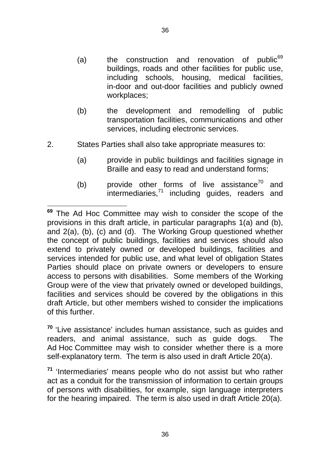- (a) the construction and renovation of public $69$ buildings, roads and other facilities for public use, including schools, housing, medical facilities, in-door and out-door facilities and publicly owned workplaces;
- (b) the development and remodelling of public transportation facilities, communications and other services, including electronic services.
- 2. States Parties shall also take appropriate measures to:
	- (a) provide in public buildings and facilities signage in Braille and easy to read and understand forms;
	- (b) provide other forms of live assistance<sup>70</sup> and  $intermediaries, <sup>71</sup>$  including guides, readers and

**<sup>70</sup>** 'Live assistance' includes human assistance, such as guides and readers, and animal assistance, such as guide dogs. The Ad Hoc Committee may wish to consider whether there is a more self-explanatory term. The term is also used in draft Article 20(a).

**<sup>71</sup>** 'Intermediaries' means people who do not assist but who rather act as a conduit for the transmission of information to certain groups of persons with disabilities, for example, sign language interpreters for the hearing impaired. The term is also used in draft Article 20(a).

**<sup>69</sup>**  The Ad Hoc Committee may wish to consider the scope of the provisions in this draft article, in particular paragraphs 1(a) and (b), and 2(a), (b), (c) and (d). The Working Group questioned whether the concept of public buildings, facilities and services should also extend to privately owned or developed buildings, facilities and services intended for public use, and what level of obligation States Parties should place on private owners or developers to ensure access to persons with disabilities. Some members of the Working Group were of the view that privately owned or developed buildings, facilities and services should be covered by the obligations in this draft Article, but other members wished to consider the implications of this further.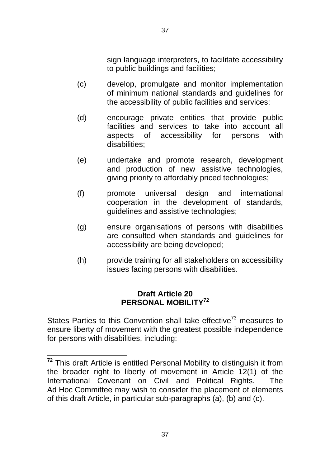sign language interpreters, to facilitate accessibility to public buildings and facilities;

- (c) develop, promulgate and monitor implementation of minimum national standards and guidelines for the accessibility of public facilities and services;
- (d) encourage private entities that provide public facilities and services to take into account all aspects of accessibility for persons with disabilities;
- (e) undertake and promote research, development and production of new assistive technologies, giving priority to affordably priced technologies;
- (f) promote universal design and international cooperation in the development of standards, guidelines and assistive technologies;
- (g) ensure organisations of persons with disabilities are consulted when standards and guidelines for accessibility are being developed;
- (h) provide training for all stakeholders on accessibility issues facing persons with disabilities.

## **Draft Article 20 PERSONAL MOBILITY<sup>72</sup>**

States Parties to this Convention shall take effective $73$  measures to ensure liberty of movement with the greatest possible independence for persons with disabilities, including:

**<sup>72</sup>** This draft Article is entitled Personal Mobility to distinguish it from the broader right to liberty of movement in Article 12(1) of the International Covenant on Civil and Political Rights. The Ad Hoc Committee may wish to consider the placement of elements of this draft Article, in particular sub-paragraphs (a), (b) and (c).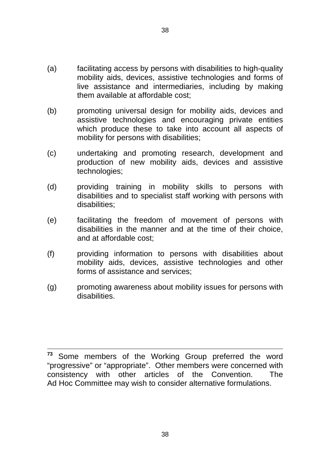- (a) facilitating access by persons with disabilities to high-quality mobility aids, devices, assistive technologies and forms of live assistance and intermediaries, including by making them available at affordable cost;
- (b) promoting universal design for mobility aids, devices and assistive technologies and encouraging private entities which produce these to take into account all aspects of mobility for persons with disabilities;
- (c) undertaking and promoting research, development and production of new mobility aids, devices and assistive technologies;
- (d) providing training in mobility skills to persons with disabilities and to specialist staff working with persons with disabilities;
- (e) facilitating the freedom of movement of persons with disabilities in the manner and at the time of their choice, and at affordable cost;
- (f) providing information to persons with disabilities about mobility aids, devices, assistive technologies and other forms of assistance and services;
- (g) promoting awareness about mobility issues for persons with disabilities.

<sup>&</sup>lt;sup>73</sup> Some members of the Working Group preferred the word "progressive" or "appropriate". Other members were concerned with consistency with other articles of the Convention. The Ad Hoc Committee may wish to consider alternative formulations.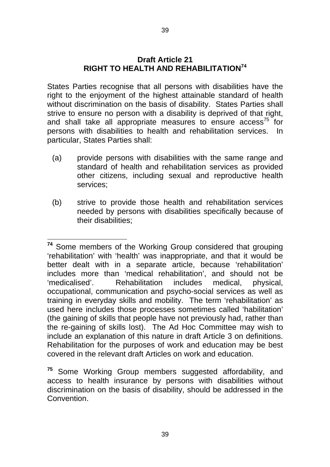#### **Draft Article 21 RIGHT TO HEALTH AND REHABILITATION74**

States Parties recognise that all persons with disabilities have the right to the enjoyment of the highest attainable standard of health without discrimination on the basis of disability. States Parties shall strive to ensure no person with a disability is deprived of that right, and shall take all appropriate measures to ensure  $arccess^{75}$  for persons with disabilities to health and rehabilitation services. In particular, States Parties shall:

- (a) provide persons with disabilities with the same range and standard of health and rehabilitation services as provided other citizens, including sexual and reproductive health services;
- (b) strive to provide those health and rehabilitation services needed by persons with disabilities specifically because of their disabilities;

**<sup>74</sup>** Some members of the Working Group considered that grouping 'rehabilitation' with 'health' was inappropriate, and that it would be better dealt with in a separate article, because 'rehabilitation' includes more than 'medical rehabilitation', and should not be 'medicalised'. Rehabilitation includes medical, physical, occupational, communication and psycho-social services as well as training in everyday skills and mobility. The term 'rehabilitation' as used here includes those processes sometimes called 'habilitation' (the gaining of skills that people have not previously had, rather than the re-gaining of skills lost). The Ad Hoc Committee may wish to include an explanation of this nature in draft Article 3 on definitions. Rehabilitation for the purposes of work and education may be best covered in the relevant draft Articles on work and education.

Some Working Group members suggested affordability, and access to health insurance by persons with disabilities without discrimination on the basis of disability, should be addressed in the **Convention 75**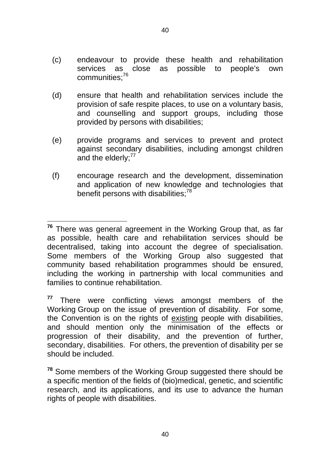- (c) endeavour to provide these health and rehabilitation services as communities;76 close as possible to people's own
- (d) ensure that health and rehabilitation services include the provision of safe respite places, to use on a voluntary basis, and counselling and support groups, including those provided by persons with disabilities;
- (e) provide programs and services to prevent and protect against secondary disabilities, including amongst children and the elderly; $^{77}$
- (f) encourage research and the development, dissemination and application of new knowledge and technologies that benefit persons with disabilities:<sup>78</sup>

**<sup>76</sup>** There was general agreement in the Working Group that, as far as possible, health care and rehabilitation services should be decentralised, taking into account the degree of specialisation. Some members of the Working Group also suggested that community based rehabilitation programmes should be ensured, including the working in partnership with local communities and families to continue rehabilitation.

**<sup>77</sup>** There were conflicting views amongst members of the Working Group on the issue of prevention of disability. For some, the Convention is on the rights of existing people with disabilities, and should mention only the minimisation of the effects or progression of their disability, and the prevention of further, secondary, disabilities. For others, the prevention of disability per se should be included.

**<sup>78</sup>**Some members of the Working Group suggested there should be a specific mention of the fields of (bio)medical, genetic, and scientific research, and its applications, and its use to advance the human rights of people with disabilities.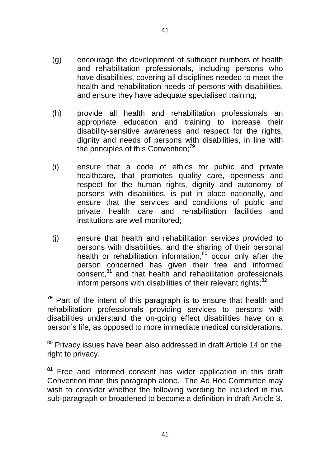- (g) encourage the development of sufficient numbers of health and rehabilitation professionals, including persons who have disabilities, covering all disciplines needed to meet the health and rehabilitation needs of persons with disabilities, and ensure they have adequate specialised training;
- (h) provide all health and rehabilitation professionals an appropriate education and training to increase their disability-sensitive awareness and respect for the rights, dignity and needs of persons with disabilities, in line with the principles of this Convention;<sup>79</sup>
- (i) ensure that a code of ethics for public and private healthcare, that promotes quality care, openness and respect for the human rights, dignity and autonomy of persons with disabilities, is put in place nationally, and ensure that the services and conditions of public and private health care and rehabilitation facilities and institutions are well monitored;
- (j) ensure that health and rehabilitation services provided to persons with disabilities, and the sharing of their personal health or rehabilitation information,<sup>80</sup> occur only after the person concerned has given their free and informed consent,<sup>81</sup> and that health and rehabilitation professionals inform persons with disabilities of their relevant rights; $82$

 $80$  Privacy issues have been also addressed in draft Article 14 on the right to privacy.

<sup>81</sup> Free and informed consent has wider application in this draft Convention than this paragraph alone. The Ad Hoc Committee may wish to consider whether the following wording be included in this sub-paragraph or broadened to become a definition in draft Article 3.

41

**<sup>79</sup>** Part of the intent of this paragraph is to ensure that health and rehabilitation professionals providing services to persons with disabilities understand the on-going effect disabilities have on a person's life, as opposed to more immediate medical considerations.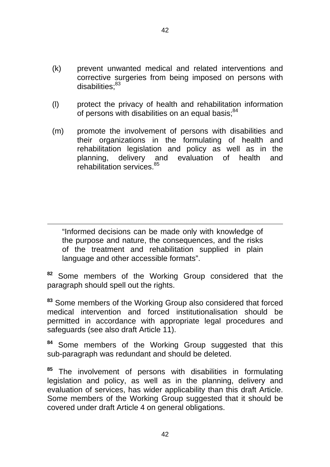- (k) prevent unwanted medical and related interventions and corrective surgeries from being imposed on persons with disabilities:<sup>83</sup>
- (l) protect the privacy of health and rehabilitation information of persons with disabilities on an equal basis: $84$
- (m) promote the involvement of persons with disabilities and their organizations in the formulating of health and rehabilitation legislation and policy as well as in the planning, delivery and evaluation of health and  $r$ ehabilitation services  $85$

"Informed decisions can be made only with knowledge of the purpose and nature, the consequences, and the risks of the treatment and rehabilitation supplied in plain language and other accessible formats".

**<sup>82</sup>** Some members of the Working Group considered that the paragraph should spell out the rights.

**<sup>83</sup>** Some members of the Working Group also considered that forced medical intervention and forced institutionalisation should be permitted in accordance with appropriate legal procedures and safeguards (see also draft Article 11).

**<sup>84</sup>** Some members of the Working Group suggested that this sub-paragraph was redundant and should be deleted.

**<sup>85</sup>** The involvement of persons with disabilities in formulating legislation and policy, as well as in the planning, delivery and evaluation of services, has wider applicability than this draft Article. Some members of the Working Group suggested that it should be covered under draft Article 4 on general obligations.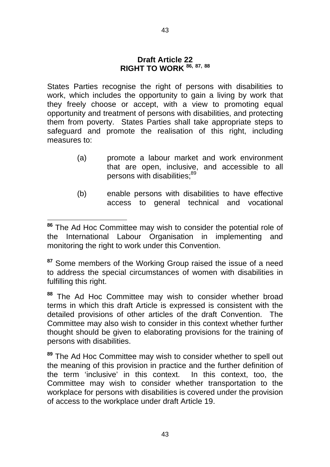#### **Draft Article 22 RIGHT TO WORK 86, 87, 88**

States Parties recognise the right of persons with disabilities to work, which includes the opportunity to gain a living by work that they freely choose or accept, with a view to promoting equal opportunity and treatment of persons with disabilities, and protecting them from poverty. States Parties shall take appropriate steps to safeguard and promote the realisation of this right, including measures to:

- (a) promote a labour market and work environment that are open, inclusive, and accessible to all persons with disabilities:<sup>89</sup>
- (b) enable persons with disabilities to have effective access to general technical and vocational

**<sup>87</sup>** Some members of the Working Group raised the issue of a need to address the special circumstances of women with disabilities in fulfilling this right.

**88**  The Ad Hoc Committee may wish to consider whether broad terms in which this draft Article is expressed is consistent with the detailed provisions of other articles of the draft Convention. The Committee may also wish to consider in this context whether further thought should be given to elaborating provisions for the training of persons with disabilities.

**<sup>89</sup>**The Ad Hoc Committee may wish to consider whether to spell out the meaning of this provision in practice and the further definition of the term 'inclusive' in this context. In this context, too, the Committee may wish to consider whether transportation to the workplace for persons with disabilities is covered under the provision of access to the workplace under draft Article 19.

**<sup>86</sup>** The Ad Hoc Committee may wish to consider the potential role of the International Labour Organisation in implementing and monitoring the right to work under this Convention.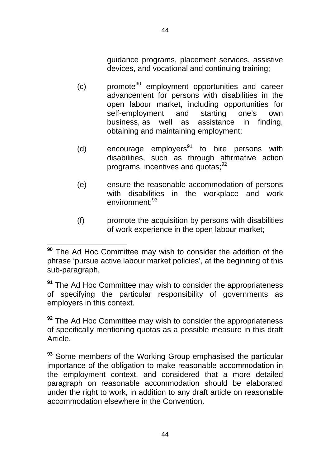guidance programs, placement services, assistive devices, and vocational and continuing training;

- $(c)$  promote<sup>90</sup> employment opportunities and career advancement for persons with disabilities in the open labour market, including opportunities for self-employment and starting one's own business, as well as assistance in finding, obtaining and maintaining employment;
- (d) encourage employers<sup>91</sup> to hire persons with disabilities, such as through affirmative action programs, incentives and quotas;<sup>92</sup>
- (e) ensure the reasonable accommodation of persons with disabilities in the workplace and work environment<sup>.93</sup>
- (f) promote the acquisition by persons with disabilities of work experience in the open labour market;

**<sup>92</sup>**The Ad Hoc Committee may wish to consider the appropriateness of specifically mentioning quotas as a possible measure in this draft Article.

**<sup>90</sup>**The Ad Hoc Committee may wish to consider the addition of the phrase 'pursue active labour market policies', at the beginning of this sub-paragraph.

**<sup>91</sup>**The Ad Hoc Committee may wish to consider the appropriateness of specifying the particular responsibility of governments as employers in this context.

<sup>&</sup>lt;sup>93</sup> Some members of the Working Group emphasised the particular importance of the obligation to make reasonable accommodation in the employment context, and considered that a more detailed paragraph on reasonable accommodation should be elaborated under the right to work, in addition to any draft article on reasonable accommodation elsewhere in the Convention.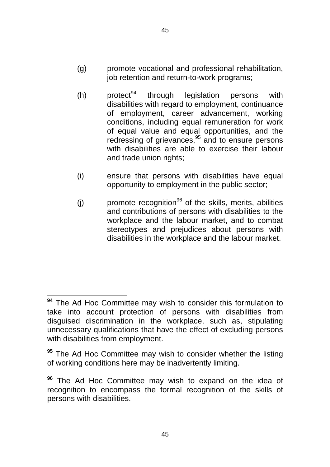- (g) promote vocational and professional rehabilitation, job retention and return-to-work programs;
- $(h)$  protect<sup>94</sup> through legislation persons with disabilities with regard to employment, continuance of employment, career advancement, working conditions, including equal remuneration for work of equal value and equal opportunities, and the redressing of grievances, $95$  and to ensure persons with disabilities are able to exercise their labour and trade union rights;
- (i) ensure that persons with disabilities have equal opportunity to employment in the public sector;
- (i) promote recognition<sup>96</sup> of the skills, merits, abilities and contributions of persons with disabilities to the workplace and the labour market, and to combat stereotypes and prejudices about persons with disabilities in the workplace and the labour market.

**<sup>94</sup>**The Ad Hoc Committee may wish to consider this formulation to take into account protection of persons with disabilities from disguised discrimination in the workplace, such as, stipulating unnecessary qualifications that have the effect of excluding persons with disabilities from employment.

**<sup>95</sup>**The Ad Hoc Committee may wish to consider whether the listing of working conditions here may be inadvertently limiting.

The Ad Hoc Committee may wish to expand on the idea of **96**recognition to encompass the formal recognition of the skills of persons with disabilities.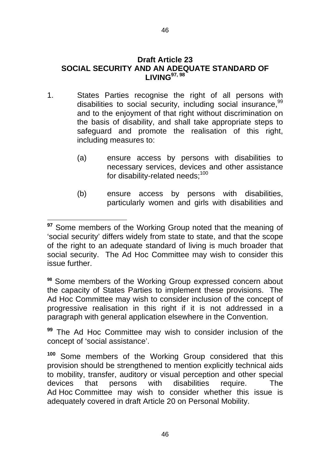#### **LIVING 97, 98 Draft Article 23 SOCIAL SECURITY AND AN ADEQUATE STANDARD OF**

- 1. States Parties recognise the right of all persons with disabilities to social security, including social insurance,  $99$ and to the enjoyment of that right without discrimination on the basis of disability, and shall take appropriate steps to safeguard and promote the realisation of this right, including measures to:
	- (a) ensure access by persons with disabilities to necessary services, devices and other assistance for disability-related needs:<sup>100</sup>
	- (b) ensure access by persons with disabilities, particularly women and girls with disabilities and

<sup>98</sup> Some members of the Working Group expressed concern about the capacity of States Parties to implement these provisions. The Ad Hoc Committee may wish to consider inclusion of the concept of progressive realisation in this right if it is not addressed in a paragraph with general application elsewhere in the Convention.

**<sup>99</sup>**The Ad Hoc Committee may wish to consider inclusion of the concept of 'social assistance'.

<sup>100</sup> Some members of the Working Group considered that this provision should be strengthened to mention explicitly technical aids to mobility, transfer, auditory or visual perception and other special devices that persons with disabilities require. The Ad Hoc Committee may wish to consider whether this issue is adequately covered in draft Article 20 on Personal Mobility.

**<sup>97</sup>** Some members of the Working Group noted that the meaning of 'social security' differs widely from state to state, and that the scope of the right to an adequate standard of living is much broader that social security. The Ad Hoc Committee may wish to consider this issue further.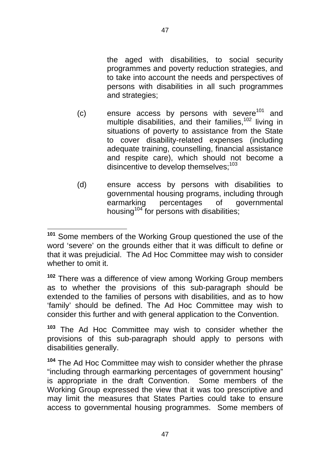the aged with disabilities, to social security

programmes and poverty reduction strategies, and to take into account the needs and perspectives of persons with disabilities in all such programmes and strategies;

- (c) ensure access by persons with severe<sup>101</sup> and multiple disabilities, and their families,<sup>102</sup> living in situations of poverty to assistance from the State to cover disability-related expenses (including adequate training, counselling, financial assistance and respite care), which should not become a disincentive to develop themselves: $103$
- (d) ensure access by persons with disabilities to governmental housing programs, including through earmarking percentages of governmental housing<sup>104</sup> for persons with disabilities;

**<sup>102</sup>**There was a difference of view among Working Group members as to whether the provisions of this sub-paragraph should be extended to the families of persons with disabilities, and as to how 'family' should be defined. The Ad Hoc Committee may wish to consider this further and with general application to the Convention.

**103**  The Ad Hoc Committee may wish to consider whether the provisions of this sub-paragraph should apply to persons with disabilities generally.

**<sup>104</sup>**The Ad Hoc Committee may wish to consider whether the phrase "including through earmarking percentages of government housing" is appropriate in the draft Convention. Some members of the Working Group expressed the view that it was too prescriptive and may limit the measures that States Parties could take to ensure access to governmental housing programmes. Some members of

<sup>&</sup>lt;sup>101</sup> Some members of the Working Group questioned the use of the word 'severe' on the grounds either that it was difficult to define or that it was prejudicial. The Ad Hoc Committee may wish to consider whether to omit it.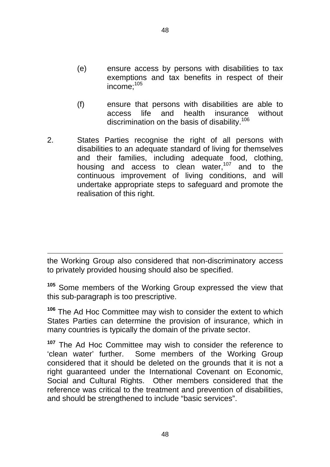- (e) ensure access by persons with disabilities to tax exemptions and tax benefits in respect of their income;105
- (f) ensure that persons with disabilities are able to access life and health insurance without discrimination on the basis of disability.<sup>106</sup>
- 2. States Parties recognise the right of all persons with disabilities to an adequate standard of living for themselves and their families, including adequate food, clothing, housing and access to clean water.<sup>107</sup> and to the continuous improvement of living conditions, and will undertake appropriate steps to safeguard and promote the realisation of this right.

the Working Group also considered that non-discriminatory access to privately provided housing should also be specified.

<sup>105</sup> Some members of the Working Group expressed the view that this sub-paragraph is too prescriptive.

**<sup>106</sup>**The Ad Hoc Committee may wish to consider the extent to which States Parties can determine the provision of insurance, which in many countries is typically the domain of the private sector.

**107**  The Ad Hoc Committee may wish to consider the reference to 'clean water' further. Some members of the Working Group considered that it should be deleted on the grounds that it is not a right guaranteed under the International Covenant on Economic, Social and Cultural Rights. Other members considered that the reference was critical to the treatment and prevention of disabilities, and should be strengthened to include "basic services".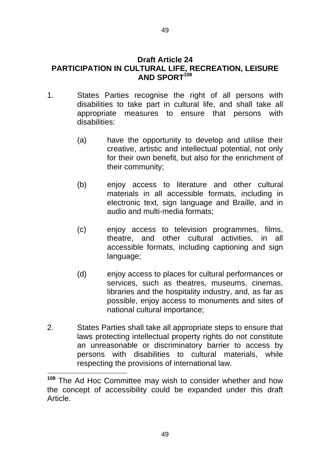- 1. States Parties recognise the right of all persons with disabilities to take part in cultural life, and shall take all appropriate measures to ensure that persons with disabilities:
	- (a) have the opportunity to develop and utilise their creative, artistic and intellectual potential, not only for their own benefit, but also for the enrichment of their community;
	- (b) enjoy access to literature and other cultural materials in all accessible formats, including in electronic text, sign language and Braille, and in audio and multi-media formats;
	- (c) enjoy access to television programmes, films, theatre, and other cultural activities, in all accessible formats, including captioning and sign language;
	- (d) enjoy access to places for cultural performances or services, such as theatres, museums, cinemas, libraries and the hospitality industry, and, as far as possible, enjoy access to monuments and sites of national cultural importance;
- 2. States Parties shall take all appropriate steps to ensure that laws protecting intellectual property rights do not constitute an unreasonable or discriminatory barrier to access by persons with disabilities to cultural materials, while respecting the provisions of international law.

**<sup>108</sup>**The Ad Hoc Committee may wish to consider whether and how the concept of accessibility could be expanded under this draft Article.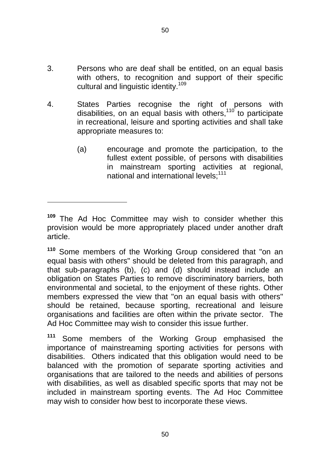- 3. Persons who are deaf shall be entitled, on an equal basis with others, to recognition and support of their specific cultural and linguistic identity.<sup>109</sup>
- 4. States Parties recognise the right of persons with disabilities, on an equal basis with others,110 to participate in recreational, leisure and sporting activities and shall take appropriate measures to:
	- (a) encourage and promote the participation, to the fullest extent possible, of persons with disabilities in mainstream sporting activities at regional, national and international levels:<sup>111</sup>

**<sup>110</sup>** Some members of the Working Group considered that "on an equal basis with others" should be deleted from this paragraph, and that sub-paragraphs (b), (c) and (d) should instead include an obligation on States Parties to remove discriminatory barriers, both environmental and societal, to the enjoyment of these rights. Other members expressed the view that "on an equal basis with others" should be retained, because sporting, recreational and leisure organisations and facilities are often within the private sector. The Ad Hoc Committee may wish to consider this issue further.

**<sup>111</sup>** Some members of the Working Group emphasised the importance of mainstreaming sporting activities for persons with disabilities. Others indicated that this obligation would need to be balanced with the promotion of separate sporting activities and organisations that are tailored to the needs and abilities of persons with disabilities, as well as disabled specific sports that may not be included in mainstream sporting events. The Ad Hoc Committee may wish to consider how best to incorporate these views.

**<sup>109</sup>**The Ad Hoc Committee may wish to consider whether this provision would be more appropriately placed under another draft article.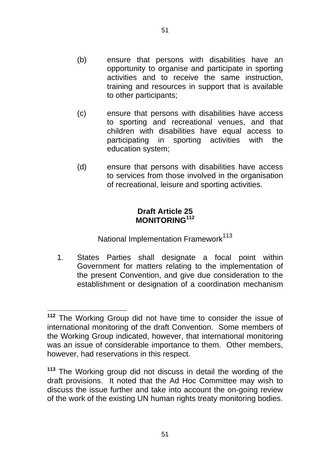- (b) ensure that persons with disabilities have an opportunity to organise and participate in sporting activities and to receive the same instruction, training and resources in support that is available to other participants;
- (c) ensure that persons with disabilities have access to sporting and recreational venues, and that children with disabilities have equal access to participating in sporting activities with the education system;
- (d) ensure that persons with disabilities have access to services from those involved in the organisation of recreational, leisure and sporting activities.

## **Draft Article 25 MONITORING<sup>112</sup>**

National Implementation Framework<sup>113</sup>

1. States Parties shall designate a focal point within Government for matters relating to the implementation of the present Convention, and give due consideration to the establishment or designation of a coordination mechanism

**<sup>112</sup>**  The Working Group did not have time to consider the issue of international monitoring of the draft Convention. Some members of the Working Group indicated, however, that international monitoring was an issue of considerable importance to them. Other members, however, had reservations in this respect.

**<sup>113</sup>**The Working group did not discuss in detail the wording of the draft provisions. It noted that the Ad Hoc Committee may wish to discuss the issue further and take into account the on-going review of the work of the existing UN human rights treaty monitoring bodies.